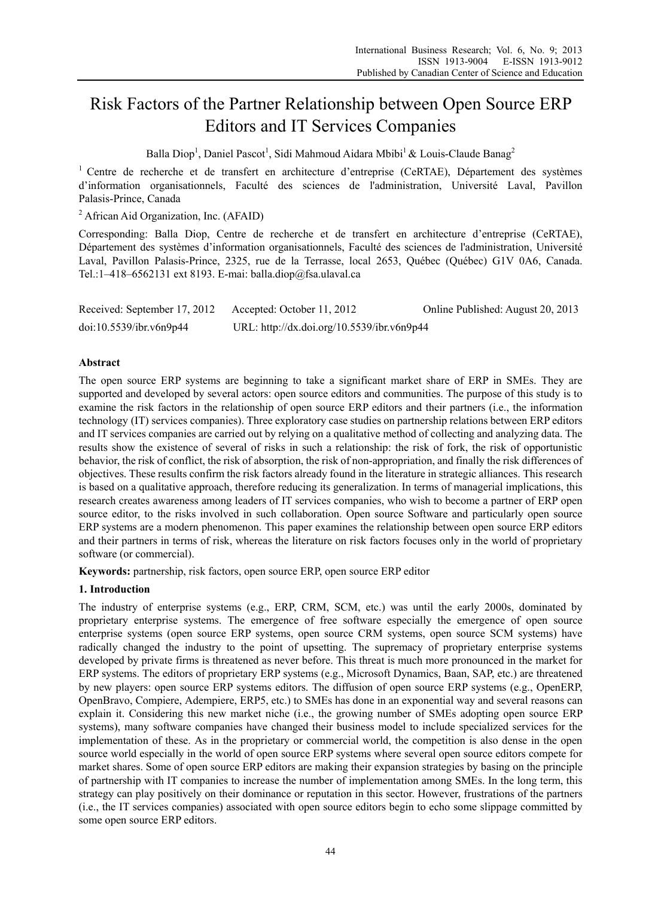# Risk Factors of the Partner Relationship between Open Source ERP Editors and IT Services Companies

Balla Diop<sup>1</sup>, Daniel Pascot<sup>1</sup>, Sidi Mahmoud Aidara Mbibi<sup>1</sup> & Louis-Claude Banag<sup>2</sup>

<sup>1</sup> Centre de recherche et de transfert en architecture d'entreprise (CeRTAE), Département des systèmes d'information organisationnels, Faculté des sciences de l'administration, Université Laval, Pavillon Palasis-Prince, Canada

<sup>2</sup> African Aid Organization, Inc. (AFAID)

Corresponding: Balla Diop, Centre de recherche et de transfert en architecture d'entreprise (CeRTAE), Département des systèmes d'information organisationnels, Faculté des sciences de l'administration, Université Laval, Pavillon Palasis-Prince, 2325, rue de la Terrasse, local 2653, Québec (Québec) G1V 0A6, Canada. Tel.:1–418–6562131 ext 8193. E-mai: balla.diop@fsa.ulaval.ca

| Received: September 17, 2012 | Accepted: October 11, 2012                 | Online Published: August 20, 2013 |
|------------------------------|--------------------------------------------|-----------------------------------|
| doi:10.5539/ibr.v6n9p44      | URL: http://dx.doi.org/10.5539/ibr.v6n9p44 |                                   |

# **Abstract**

The open source ERP systems are beginning to take a significant market share of ERP in SMEs. They are supported and developed by several actors: open source editors and communities. The purpose of this study is to examine the risk factors in the relationship of open source ERP editors and their partners (i.e., the information technology (IT) services companies). Three exploratory case studies on partnership relations between ERP editors and IT services companies are carried out by relying on a qualitative method of collecting and analyzing data. The results show the existence of several of risks in such a relationship: the risk of fork, the risk of opportunistic behavior, the risk of conflict, the risk of absorption, the risk of non-appropriation, and finally the risk differences of objectives. These results confirm the risk factors already found in the literature in strategic alliances. This research is based on a qualitative approach, therefore reducing its generalization. In terms of managerial implications, this research creates awareness among leaders of IT services companies, who wish to become a partner of ERP open source editor, to the risks involved in such collaboration. Open source Software and particularly open source ERP systems are a modern phenomenon. This paper examines the relationship between open source ERP editors and their partners in terms of risk, whereas the literature on risk factors focuses only in the world of proprietary software (or commercial).

**Keywords:** partnership, risk factors, open source ERP, open source ERP editor

## **1. Introduction**

The industry of enterprise systems (e.g., ERP, CRM, SCM, etc.) was until the early 2000s, dominated by proprietary enterprise systems. The emergence of free software especially the emergence of open source enterprise systems (open source ERP systems, open source CRM systems, open source SCM systems) have radically changed the industry to the point of upsetting. The supremacy of proprietary enterprise systems developed by private firms is threatened as never before. This threat is much more pronounced in the market for ERP systems. The editors of proprietary ERP systems (e.g., Microsoft Dynamics, Baan, SAP, etc.) are threatened by new players: open source ERP systems editors. The diffusion of open source ERP systems (e.g., OpenERP, OpenBravo, Compiere, Adempiere, ERP5, etc.) to SMEs has done in an exponential way and several reasons can explain it. Considering this new market niche (i.e., the growing number of SMEs adopting open source ERP systems), many software companies have changed their business model to include specialized services for the implementation of these. As in the proprietary or commercial world, the competition is also dense in the open source world especially in the world of open source ERP systems where several open source editors compete for market shares. Some of open source ERP editors are making their expansion strategies by basing on the principle of partnership with IT companies to increase the number of implementation among SMEs. In the long term, this strategy can play positively on their dominance or reputation in this sector. However, frustrations of the partners (i.e., the IT services companies) associated with open source editors begin to echo some slippage committed by some open source ERP editors.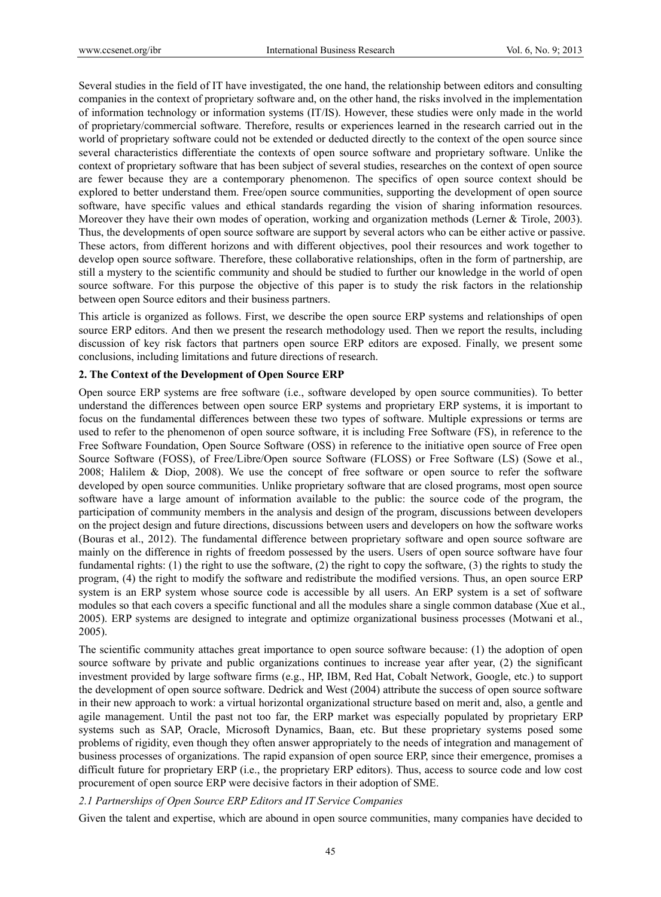Several studies in the field of IT have investigated, the one hand, the relationship between editors and consulting companies in the context of proprietary software and, on the other hand, the risks involved in the implementation of information technology or information systems (IT/IS). However, these studies were only made in the world of proprietary/commercial software. Therefore, results or experiences learned in the research carried out in the world of proprietary software could not be extended or deducted directly to the context of the open source since several characteristics differentiate the contexts of open source software and proprietary software. Unlike the context of proprietary software that has been subject of several studies, researches on the context of open source are fewer because they are a contemporary phenomenon. The specifics of open source context should be explored to better understand them. Free/open source communities, supporting the development of open source software, have specific values and ethical standards regarding the vision of sharing information resources. Moreover they have their own modes of operation, working and organization methods (Lerner & Tirole, 2003). Thus, the developments of open source software are support by several actors who can be either active or passive. These actors, from different horizons and with different objectives, pool their resources and work together to develop open source software. Therefore, these collaborative relationships, often in the form of partnership, are still a mystery to the scientific community and should be studied to further our knowledge in the world of open source software. For this purpose the objective of this paper is to study the risk factors in the relationship between open Source editors and their business partners.

This article is organized as follows. First, we describe the open source ERP systems and relationships of open source ERP editors. And then we present the research methodology used. Then we report the results, including discussion of key risk factors that partners open source ERP editors are exposed. Finally, we present some conclusions, including limitations and future directions of research.

# **2. The Context of the Development of Open Source ERP**

Open source ERP systems are free software (i.e., software developed by open source communities). To better understand the differences between open source ERP systems and proprietary ERP systems, it is important to focus on the fundamental differences between these two types of software. Multiple expressions or terms are used to refer to the phenomenon of open source software, it is including Free Software (FS), in reference to the Free Software Foundation, Open Source Software (OSS) in reference to the initiative open source of Free open Source Software (FOSS), of Free/Libre/Open source Software (FLOSS) or Free Software (LS) (Sowe et al., 2008; Halilem & Diop, 2008). We use the concept of free software or open source to refer the software developed by open source communities. Unlike proprietary software that are closed programs, most open source software have a large amount of information available to the public: the source code of the program, the participation of community members in the analysis and design of the program, discussions between developers on the project design and future directions, discussions between users and developers on how the software works (Bouras et al., 2012). The fundamental difference between proprietary software and open source software are mainly on the difference in rights of freedom possessed by the users. Users of open source software have four fundamental rights: (1) the right to use the software, (2) the right to copy the software, (3) the rights to study the program, (4) the right to modify the software and redistribute the modified versions. Thus, an open source ERP system is an ERP system whose source code is accessible by all users. An ERP system is a set of software modules so that each covers a specific functional and all the modules share a single common database (Xue et al., 2005). ERP systems are designed to integrate and optimize organizational business processes (Motwani et al., 2005).

The scientific community attaches great importance to open source software because: (1) the adoption of open source software by private and public organizations continues to increase year after year, (2) the significant investment provided by large software firms (e.g., HP, IBM, Red Hat, Cobalt Network, Google, etc.) to support the development of open source software. Dedrick and West (2004) attribute the success of open source software in their new approach to work: a virtual horizontal organizational structure based on merit and, also, a gentle and agile management. Until the past not too far, the ERP market was especially populated by proprietary ERP systems such as SAP, Oracle, Microsoft Dynamics, Baan, etc. But these proprietary systems posed some problems of rigidity, even though they often answer appropriately to the needs of integration and management of business processes of organizations. The rapid expansion of open source ERP, since their emergence, promises a difficult future for proprietary ERP (i.e., the proprietary ERP editors). Thus, access to source code and low cost procurement of open source ERP were decisive factors in their adoption of SME.

## *2.1 Partnerships of Open Source ERP Editors and IT Service Companies*

Given the talent and expertise, which are abound in open source communities, many companies have decided to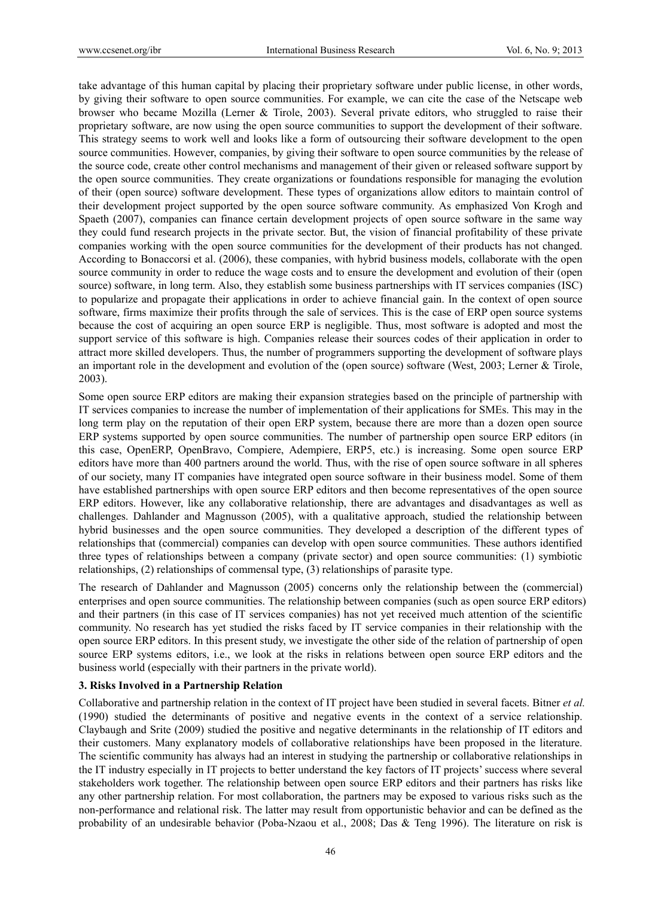take advantage of this human capital by placing their proprietary software under public license, in other words, by giving their software to open source communities. For example, we can cite the case of the Netscape web browser who became Mozilla (Lerner & Tirole, 2003). Several private editors, who struggled to raise their proprietary software, are now using the open source communities to support the development of their software. This strategy seems to work well and looks like a form of outsourcing their software development to the open source communities. However, companies, by giving their software to open source communities by the release of the source code, create other control mechanisms and management of their given or released software support by the open source communities. They create organizations or foundations responsible for managing the evolution of their (open source) software development. These types of organizations allow editors to maintain control of their development project supported by the open source software community. As emphasized Von Krogh and Spaeth (2007), companies can finance certain development projects of open source software in the same way they could fund research projects in the private sector. But, the vision of financial profitability of these private companies working with the open source communities for the development of their products has not changed. According to Bonaccorsi et al. (2006), these companies, with hybrid business models, collaborate with the open source community in order to reduce the wage costs and to ensure the development and evolution of their (open source) software, in long term. Also, they establish some business partnerships with IT services companies (ISC) to popularize and propagate their applications in order to achieve financial gain. In the context of open source software, firms maximize their profits through the sale of services. This is the case of ERP open source systems because the cost of acquiring an open source ERP is negligible. Thus, most software is adopted and most the support service of this software is high. Companies release their sources codes of their application in order to attract more skilled developers. Thus, the number of programmers supporting the development of software plays an important role in the development and evolution of the (open source) software (West, 2003; Lerner & Tirole, 2003).

Some open source ERP editors are making their expansion strategies based on the principle of partnership with IT services companies to increase the number of implementation of their applications for SMEs. This may in the long term play on the reputation of their open ERP system, because there are more than a dozen open source ERP systems supported by open source communities. The number of partnership open source ERP editors (in this case, OpenERP, OpenBravo, Compiere, Adempiere, ERP5, etc.) is increasing. Some open source ERP editors have more than 400 partners around the world. Thus, with the rise of open source software in all spheres of our society, many IT companies have integrated open source software in their business model. Some of them have established partnerships with open source ERP editors and then become representatives of the open source ERP editors. However, like any collaborative relationship, there are advantages and disadvantages as well as challenges. Dahlander and Magnusson (2005), with a qualitative approach, studied the relationship between hybrid businesses and the open source communities. They developed a description of the different types of relationships that (commercial) companies can develop with open source communities. These authors identified three types of relationships between a company (private sector) and open source communities: (1) symbiotic relationships, (2) relationships of commensal type, (3) relationships of parasite type.

The research of Dahlander and Magnusson (2005) concerns only the relationship between the (commercial) enterprises and open source communities. The relationship between companies (such as open source ERP editors) and their partners (in this case of IT services companies) has not yet received much attention of the scientific community. No research has yet studied the risks faced by IT service companies in their relationship with the open source ERP editors. In this present study, we investigate the other side of the relation of partnership of open source ERP systems editors, i.e., we look at the risks in relations between open source ERP editors and the business world (especially with their partners in the private world).

## **3. Risks Involved in a Partnership Relation**

Collaborative and partnership relation in the context of IT project have been studied in several facets. Bitner *et al.* (1990) studied the determinants of positive and negative events in the context of a service relationship. Claybaugh and Srite (2009) studied the positive and negative determinants in the relationship of IT editors and their customers. Many explanatory models of collaborative relationships have been proposed in the literature. The scientific community has always had an interest in studying the partnership or collaborative relationships in the IT industry especially in IT projects to better understand the key factors of IT projects' success where several stakeholders work together. The relationship between open source ERP editors and their partners has risks like any other partnership relation. For most collaboration, the partners may be exposed to various risks such as the non-performance and relational risk. The latter may result from opportunistic behavior and can be defined as the probability of an undesirable behavior (Poba-Nzaou et al., 2008; Das & Teng 1996). The literature on risk is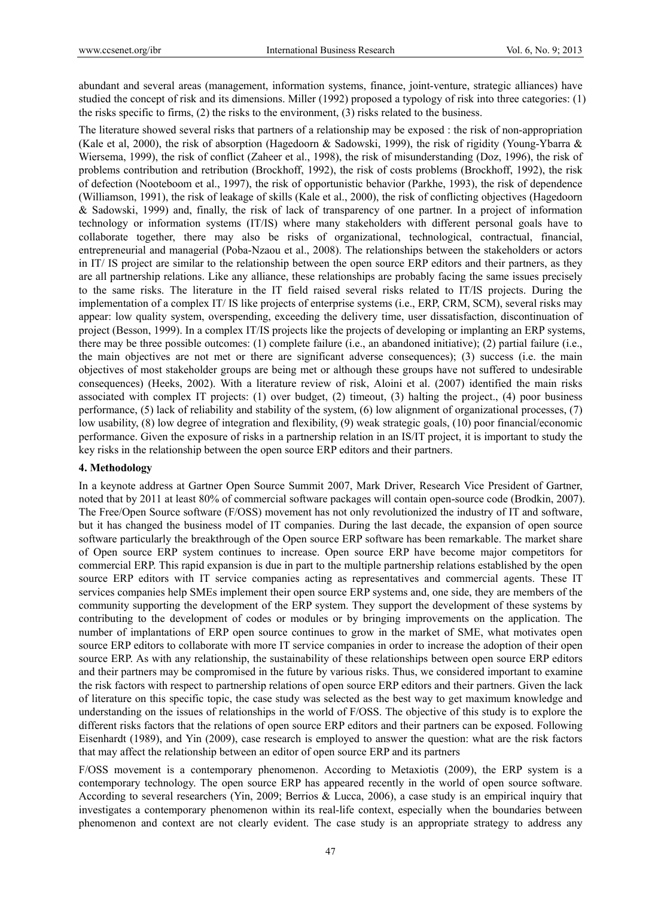abundant and several areas (management, information systems, finance, joint-venture, strategic alliances) have studied the concept of risk and its dimensions. Miller (1992) proposed a typology of risk into three categories: (1) the risks specific to firms, (2) the risks to the environment, (3) risks related to the business.

The literature showed several risks that partners of a relationship may be exposed : the risk of non-appropriation (Kale et al, 2000), the risk of absorption (Hagedoorn & Sadowski, 1999), the risk of rigidity (Young-Ybarra & Wiersema, 1999), the risk of conflict (Zaheer et al., 1998), the risk of misunderstanding (Doz, 1996), the risk of problems contribution and retribution (Brockhoff, 1992), the risk of costs problems (Brockhoff, 1992), the risk of defection (Nooteboom et al., 1997), the risk of opportunistic behavior (Parkhe, 1993), the risk of dependence (Williamson, 1991), the risk of leakage of skills (Kale et al., 2000), the risk of conflicting objectives (Hagedoorn & Sadowski, 1999) and, finally, the risk of lack of transparency of one partner. In a project of information technology or information systems (IT/IS) where many stakeholders with different personal goals have to collaborate together, there may also be risks of organizational, technological, contractual, financial, entrepreneurial and managerial (Poba-Nzaou et al., 2008). The relationships between the stakeholders or actors in IT/ IS project are similar to the relationship between the open source ERP editors and their partners, as they are all partnership relations. Like any alliance, these relationships are probably facing the same issues precisely to the same risks. The literature in the IT field raised several risks related to IT/IS projects. During the implementation of a complex IT/ IS like projects of enterprise systems (i.e., ERP, CRM, SCM), several risks may appear: low quality system, overspending, exceeding the delivery time, user dissatisfaction, discontinuation of project (Besson, 1999). In a complex IT/IS projects like the projects of developing or implanting an ERP systems, there may be three possible outcomes: (1) complete failure (i.e., an abandoned initiative); (2) partial failure (i.e., the main objectives are not met or there are significant adverse consequences); (3) success (i.e. the main objectives of most stakeholder groups are being met or although these groups have not suffered to undesirable consequences) (Heeks, 2002). With a literature review of risk, Aloini et al. (2007) identified the main risks associated with complex IT projects: (1) over budget, (2) timeout, (3) halting the project., (4) poor business performance, (5) lack of reliability and stability of the system, (6) low alignment of organizational processes, (7) low usability, (8) low degree of integration and flexibility, (9) weak strategic goals, (10) poor financial/economic performance. Given the exposure of risks in a partnership relation in an IS/IT project, it is important to study the key risks in the relationship between the open source ERP editors and their partners.

## **4. Methodology**

In a keynote address at Gartner Open Source Summit 2007, Mark Driver, Research Vice President of Gartner, noted that by 2011 at least 80% of commercial software packages will contain open-source code (Brodkin, 2007). The Free/Open Source software (F/OSS) movement has not only revolutionized the industry of IT and software, but it has changed the business model of IT companies. During the last decade, the expansion of open source software particularly the breakthrough of the Open source ERP software has been remarkable. The market share of Open source ERP system continues to increase. Open source ERP have become major competitors for commercial ERP. This rapid expansion is due in part to the multiple partnership relations established by the open source ERP editors with IT service companies acting as representatives and commercial agents. These IT services companies help SMEs implement their open source ERP systems and, one side, they are members of the community supporting the development of the ERP system. They support the development of these systems by contributing to the development of codes or modules or by bringing improvements on the application. The number of implantations of ERP open source continues to grow in the market of SME, what motivates open source ERP editors to collaborate with more IT service companies in order to increase the adoption of their open source ERP. As with any relationship, the sustainability of these relationships between open source ERP editors and their partners may be compromised in the future by various risks. Thus, we considered important to examine the risk factors with respect to partnership relations of open source ERP editors and their partners. Given the lack of literature on this specific topic, the case study was selected as the best way to get maximum knowledge and understanding on the issues of relationships in the world of F/OSS. The objective of this study is to explore the different risks factors that the relations of open source ERP editors and their partners can be exposed. Following Eisenhardt (1989), and Yin (2009), case research is employed to answer the question: what are the risk factors that may affect the relationship between an editor of open source ERP and its partners

F/OSS movement is a contemporary phenomenon. According to Metaxiotis (2009), the ERP system is a contemporary technology. The open source ERP has appeared recently in the world of open source software. According to several researchers (Yin, 2009; Berrios & Lucca, 2006), a case study is an empirical inquiry that investigates a contemporary phenomenon within its real-life context, especially when the boundaries between phenomenon and context are not clearly evident. The case study is an appropriate strategy to address any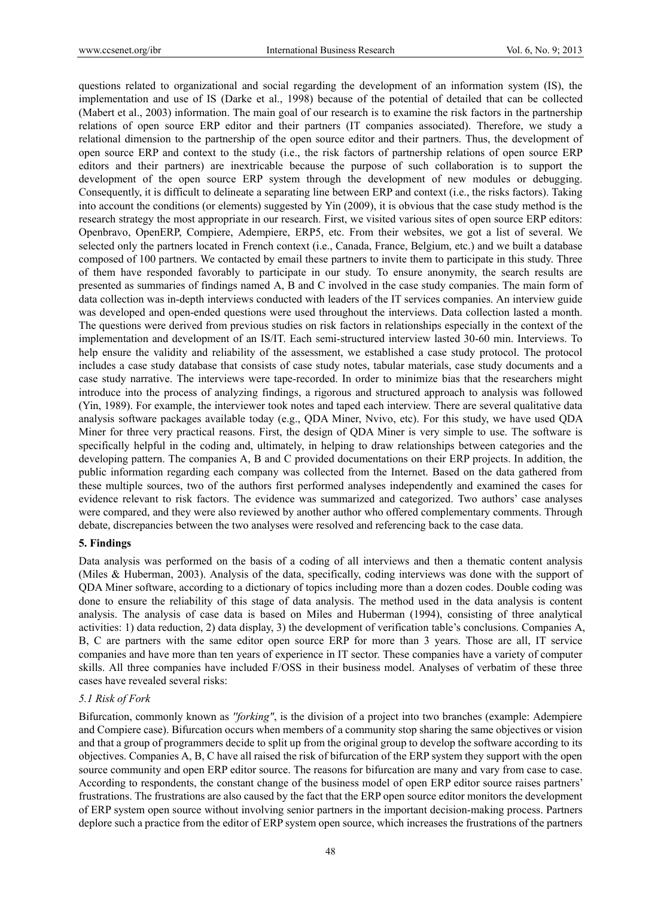questions related to organizational and social regarding the development of an information system (IS), the implementation and use of IS (Darke et al., 1998) because of the potential of detailed that can be collected (Mabert et al., 2003) information. The main goal of our research is to examine the risk factors in the partnership relations of open source ERP editor and their partners (IT companies associated). Therefore, we study a relational dimension to the partnership of the open source editor and their partners. Thus, the development of open source ERP and context to the study (i.e., the risk factors of partnership relations of open source ERP editors and their partners) are inextricable because the purpose of such collaboration is to support the development of the open source ERP system through the development of new modules or debugging. Consequently, it is difficult to delineate a separating line between ERP and context (i.e., the risks factors). Taking into account the conditions (or elements) suggested by Yin (2009), it is obvious that the case study method is the research strategy the most appropriate in our research. First, we visited various sites of open source ERP editors: Openbravo, OpenERP, Compiere, Adempiere, ERP5, etc. From their websites, we got a list of several. We selected only the partners located in French context (i.e., Canada, France, Belgium, etc.) and we built a database composed of 100 partners. We contacted by email these partners to invite them to participate in this study. Three of them have responded favorably to participate in our study. To ensure anonymity, the search results are presented as summaries of findings named A, B and C involved in the case study companies. The main form of data collection was in-depth interviews conducted with leaders of the IT services companies. An interview guide was developed and open-ended questions were used throughout the interviews. Data collection lasted a month. The questions were derived from previous studies on risk factors in relationships especially in the context of the implementation and development of an IS/IT. Each semi-structured interview lasted 30-60 min. Interviews. To help ensure the validity and reliability of the assessment, we established a case study protocol. The protocol includes a case study database that consists of case study notes, tabular materials, case study documents and a case study narrative. The interviews were tape-recorded. In order to minimize bias that the researchers might introduce into the process of analyzing findings, a rigorous and structured approach to analysis was followed (Yin, 1989). For example, the interviewer took notes and taped each interview. There are several qualitative data analysis software packages available today (e.g., QDA Miner, Nvivo, etc). For this study, we have used QDA Miner for three very practical reasons. First, the design of QDA Miner is very simple to use. The software is specifically helpful in the coding and, ultimately, in helping to draw relationships between categories and the developing pattern. The companies A, B and C provided documentations on their ERP projects. In addition, the public information regarding each company was collected from the Internet. Based on the data gathered from these multiple sources, two of the authors first performed analyses independently and examined the cases for evidence relevant to risk factors. The evidence was summarized and categorized. Two authors' case analyses were compared, and they were also reviewed by another author who offered complementary comments. Through debate, discrepancies between the two analyses were resolved and referencing back to the case data.

#### **5. Findings**

Data analysis was performed on the basis of a coding of all interviews and then a thematic content analysis (Miles & Huberman, 2003). Analysis of the data, specifically, coding interviews was done with the support of QDA Miner software, according to a dictionary of topics including more than a dozen codes. Double coding was done to ensure the reliability of this stage of data analysis. The method used in the data analysis is content analysis. The analysis of case data is based on Miles and Huberman (1994), consisting of three analytical activities: 1) data reduction, 2) data display, 3) the development of verification table's conclusions. Companies A, B, C are partners with the same editor open source ERP for more than 3 years. Those are all, IT service companies and have more than ten years of experience in IT sector. These companies have a variety of computer skills. All three companies have included F/OSS in their business model. Analyses of verbatim of these three cases have revealed several risks:

## *5.1 Risk of Fork*

Bifurcation, commonly known as *''forking"*, is the division of a project into two branches (example: Adempiere and Compiere case). Bifurcation occurs when members of a community stop sharing the same objectives or vision and that a group of programmers decide to split up from the original group to develop the software according to its objectives. Companies A, B, C have all raised the risk of bifurcation of the ERP system they support with the open source community and open ERP editor source. The reasons for bifurcation are many and vary from case to case. According to respondents, the constant change of the business model of open ERP editor source raises partners' frustrations. The frustrations are also caused by the fact that the ERP open source editor monitors the development of ERP system open source without involving senior partners in the important decision-making process. Partners deplore such a practice from the editor of ERP system open source, which increases the frustrations of the partners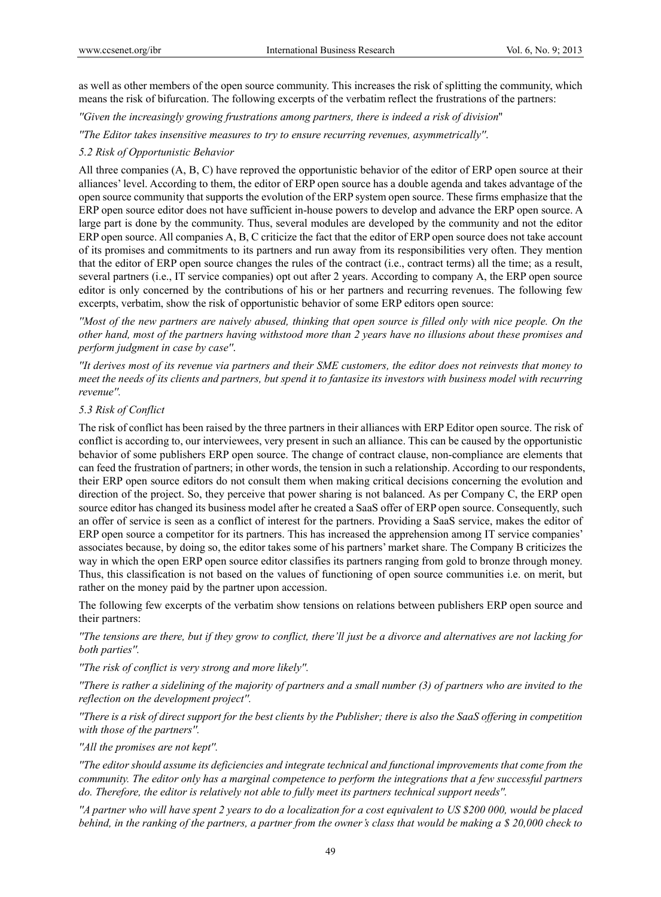as well as other members of the open source community. This increases the risk of splitting the community, which means the risk of bifurcation. The following excerpts of the verbatim reflect the frustrations of the partners:

*''Given the increasingly growing frustrations among partners, there is indeed a risk of division*''

*''The Editor takes insensitive measures to try to ensure recurring revenues, asymmetrically''*.

# *5.2 Risk of Opportunistic Behavior*

All three companies (A, B, C) have reproved the opportunistic behavior of the editor of ERP open source at their alliances' level. According to them, the editor of ERP open source has a double agenda and takes advantage of the open source community that supports the evolution of the ERP system open source. These firms emphasize that the ERP open source editor does not have sufficient in-house powers to develop and advance the ERP open source. A large part is done by the community. Thus, several modules are developed by the community and not the editor ERP open source. All companies A, B, C criticize the fact that the editor of ERP open source does not take account of its promises and commitments to its partners and run away from its responsibilities very often. They mention that the editor of ERP open source changes the rules of the contract (i.e., contract terms) all the time; as a result, several partners (i.e., IT service companies) opt out after 2 years. According to company A, the ERP open source editor is only concerned by the contributions of his or her partners and recurring revenues. The following few excerpts, verbatim, show the risk of opportunistic behavior of some ERP editors open source:

*''Most of the new partners are naively abused, thinking that open source is filled only with nice people. On the other hand, most of the partners having withstood more than 2 years have no illusions about these promises and perform judgment in case by case''*.

*''It derives most of its revenue via partners and their SME customers, the editor does not reinvests that money to meet the needs of its clients and partners, but spend it to fantasize its investors with business model with recurring revenue''.*

## *5.3 Risk of Conflict*

The risk of conflict has been raised by the three partners in their alliances with ERP Editor open source. The risk of conflict is according to, our interviewees, very present in such an alliance. This can be caused by the opportunistic behavior of some publishers ERP open source. The change of contract clause, non-compliance are elements that can feed the frustration of partners; in other words, the tension in such a relationship. According to our respondents, their ERP open source editors do not consult them when making critical decisions concerning the evolution and direction of the project. So, they perceive that power sharing is not balanced. As per Company C, the ERP open source editor has changed its business model after he created a SaaS offer of ERP open source. Consequently, such an offer of service is seen as a conflict of interest for the partners. Providing a SaaS service, makes the editor of ERP open source a competitor for its partners. This has increased the apprehension among IT service companies' associates because, by doing so, the editor takes some of his partners' market share. The Company B criticizes the way in which the open ERP open source editor classifies its partners ranging from gold to bronze through money. Thus, this classification is not based on the values of functioning of open source communities i.e. on merit, but rather on the money paid by the partner upon accession.

The following few excerpts of the verbatim show tensions on relations between publishers ERP open source and their partners:

*''The tensions are there, but if they grow to conflict, there'll just be a divorce and alternatives are not lacking for both parties''.*

## *''The risk of conflict is very strong and more likely''.*

*''There is rather a sidelining of the majority of partners and a small number (3) of partners who are invited to the reflection on the development project''.*

*''There is a risk of direct support for the best clients by the Publisher; there is also the SaaS offering in competition with those of the partners''.*

*''All the promises are not kept''.*

*''The editor should assume its deficiencies and integrate technical and functional improvements that come from the community. The editor only has a marginal competence to perform the integrations that a few successful partners do. Therefore, the editor is relatively not able to fully meet its partners technical support needs''.*

*''A partner who will have spent 2 years to do a localization for a cost equivalent to US \$200 000, would be placed behind, in the ranking of the partners, a partner from the owner's class that would be making a \$ 20,000 check to*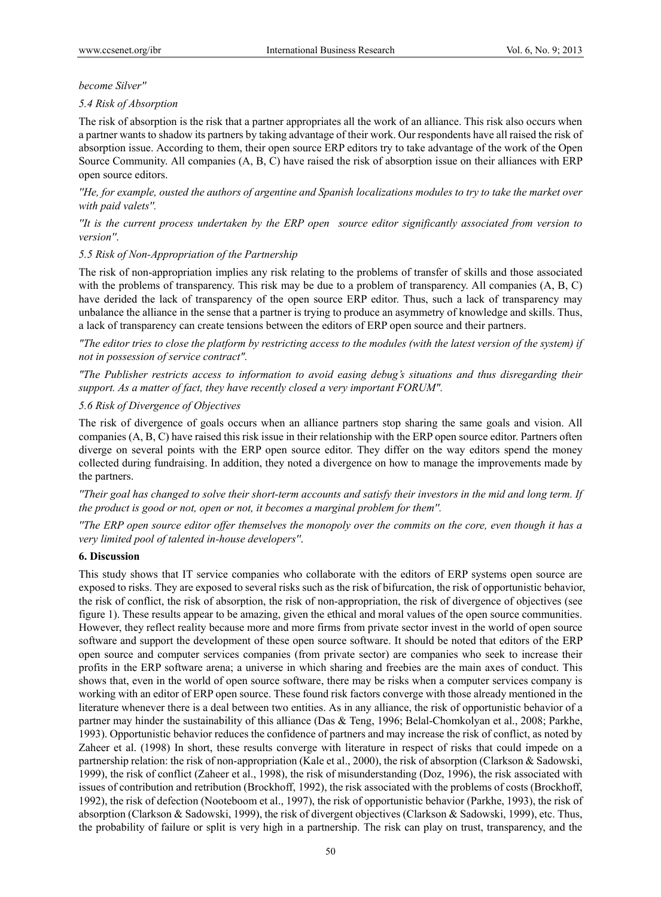## *become Silver''*

# *5.4 Risk of Absorption*

The risk of absorption is the risk that a partner appropriates all the work of an alliance. This risk also occurs when a partner wants to shadow its partners by taking advantage of their work. Our respondents have all raised the risk of absorption issue. According to them, their open source ERP editors try to take advantage of the work of the Open Source Community. All companies (A, B, C) have raised the risk of absorption issue on their alliances with ERP open source editors.

*''He, for example, ousted the authors of argentine and Spanish localizations modules to try to take the market over with paid valets''.*

*''It is the current process undertaken by the ERP open source editor significantly associated from version to version''*.

## *5.5 Risk of Non-Appropriation of the Partnership*

The risk of non-appropriation implies any risk relating to the problems of transfer of skills and those associated with the problems of transparency. This risk may be due to a problem of transparency. All companies (A, B, C) have derided the lack of transparency of the open source ERP editor. Thus, such a lack of transparency may unbalance the alliance in the sense that a partner is trying to produce an asymmetry of knowledge and skills. Thus, a lack of transparency can create tensions between the editors of ERP open source and their partners.

*"The editor tries to close the platform by restricting access to the modules (with the latest version of the system) if not in possession of service contract".*

*"The Publisher restricts access to information to avoid easing debug's situations and thus disregarding their support. As a matter of fact, they have recently closed a very important FORUM".*

## *5.6 Risk of Divergence of Objectives*

The risk of divergence of goals occurs when an alliance partners stop sharing the same goals and vision. All companies (A, B, C) have raised this risk issue in their relationship with the ERP open source editor. Partners often diverge on several points with the ERP open source editor. They differ on the way editors spend the money collected during fundraising. In addition, they noted a divergence on how to manage the improvements made by the partners.

*''Their goal has changed to solve their short-term accounts and satisfy their investors in the mid and long term. If the product is good or not, open or not, it becomes a marginal problem for them''.*

*''The ERP open source editor offer themselves the monopoly over the commits on the core, even though it has a very limited pool of talented in-house developers''*.

## **6. Discussion**

This study shows that IT service companies who collaborate with the editors of ERP systems open source are exposed to risks. They are exposed to several risks such as the risk of bifurcation, the risk of opportunistic behavior, the risk of conflict, the risk of absorption, the risk of non-appropriation, the risk of divergence of objectives (see figure 1). These results appear to be amazing, given the ethical and moral values of the open source communities. However, they reflect reality because more and more firms from private sector invest in the world of open source software and support the development of these open source software. It should be noted that editors of the ERP open source and computer services companies (from private sector) are companies who seek to increase their profits in the ERP software arena; a universe in which sharing and freebies are the main axes of conduct. This shows that, even in the world of open source software, there may be risks when a computer services company is working with an editor of ERP open source. These found risk factors converge with those already mentioned in the literature whenever there is a deal between two entities. As in any alliance, the risk of opportunistic behavior of a partner may hinder the sustainability of this alliance (Das & Teng, 1996; Belal-Chomkolyan et al., 2008; Parkhe, 1993). Opportunistic behavior reduces the confidence of partners and may increase the risk of conflict, as noted by Zaheer et al. (1998) In short, these results converge with literature in respect of risks that could impede on a partnership relation: the risk of non-appropriation (Kale et al., 2000), the risk of absorption (Clarkson & Sadowski, 1999), the risk of conflict (Zaheer et al., 1998), the risk of misunderstanding (Doz, 1996), the risk associated with issues of contribution and retribution (Brockhoff, 1992), the risk associated with the problems of costs (Brockhoff, 1992), the risk of defection (Nooteboom et al., 1997), the risk of opportunistic behavior (Parkhe, 1993), the risk of absorption (Clarkson & Sadowski, 1999), the risk of divergent objectives (Clarkson & Sadowski, 1999), etc. Thus, the probability of failure or split is very high in a partnership. The risk can play on trust, transparency, and the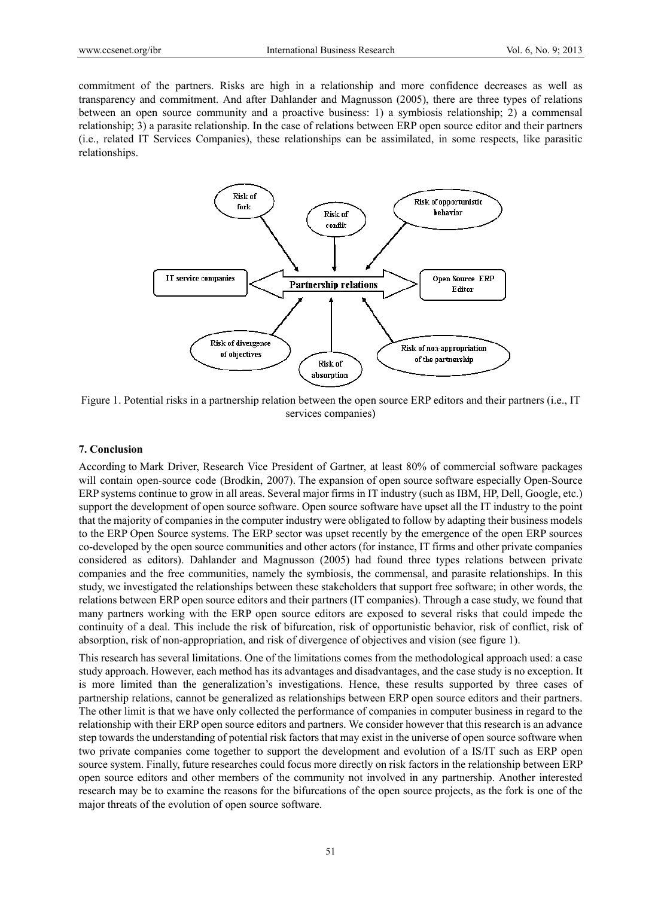commitment of the partners. Risks are high in a relationship and more confidence decreases as well as transparency and commitment. And after Dahlander and Magnusson (2005), there are three types of relations between an open source community and a proactive business: 1) a symbiosis relationship; 2) a commensal relationship; 3) a parasite relationship. In the case of relations between ERP open source editor and their partners (i.e., related IT Services Companies), these relationships can be assimilated, in some respects, like parasitic relationships.



Figure 1. Potential risks in a partnership relation between the open source ERP editors and their partners (i.e., IT services companies)

### **7. Conclus sion**

services companies)<br>
7. Conclusion<br>
According to Mark Driver, Research Vice President of Gartner, at least 80% of commercial software packages will contain open-source code (Brodkin, 2007). The expansion of open source software especially Open-Source ERP systems continue to grow in all areas. Several major firms in IT industry (such as IBM, HP, Dell, Google, etc.) support the development of open source software. Open source software have upset all the IT industry to the point that the majority of companies in the computer industry were obligated to follow by adapting their business models to the ERP Open Source systems. The ERP sector was upset recently by the emergence of the open ERP sources co-developed by the open source communities and other actors (for instance, IT firms and other private companies considered as editors). Dahlander and Magnusson (2005) had found three types relations between private companies and the free communities, namely the symbiosis, the commensal, and parasite relationships. In this study, we investigated the relationships between these stakeholders that support free software; in other words, the relations between ERP open source editors and their partners (IT companies). Through a case study, we found that many partners working with the ERP open source editors are exposed to several risks that could impede the continuity of a deal. This include the risk of bifurcation, risk of opportunistic behavior, risk of conflict, risk of absorption, risk of non-appropriation, and risk of divergence of objectives and vision (see figure 1).

This research has several limitations. One of the limitations comes from the methodological approach used: a case study approach. However, each method has its advantages and disadvantages, and the case study is no exception. It is more limited than the generalization's investigations. Hence, these results supported by three cases of partnership relations, cannot be generalized as relationships between ERP open source editors and their partners. The other limit is that we have only collected the performance of companies in computer business in regard to the relationship with their ERP open source editors and partners. We consider however that this research is an advance step towards the understanding of potential risk factors that may exist in the universe of open source software when two private companies come together to support the development and evolution of a IS/IT such as ERP open source system. Finally, future researches could focus more directly on risk factors in the relationship between ERP open source editors and other members of the community not involved in any partnership. Another interested research may be to examine the reasons for the bifurcations of the open source projects, as the fork is one of the major threats of the evolution of open source software.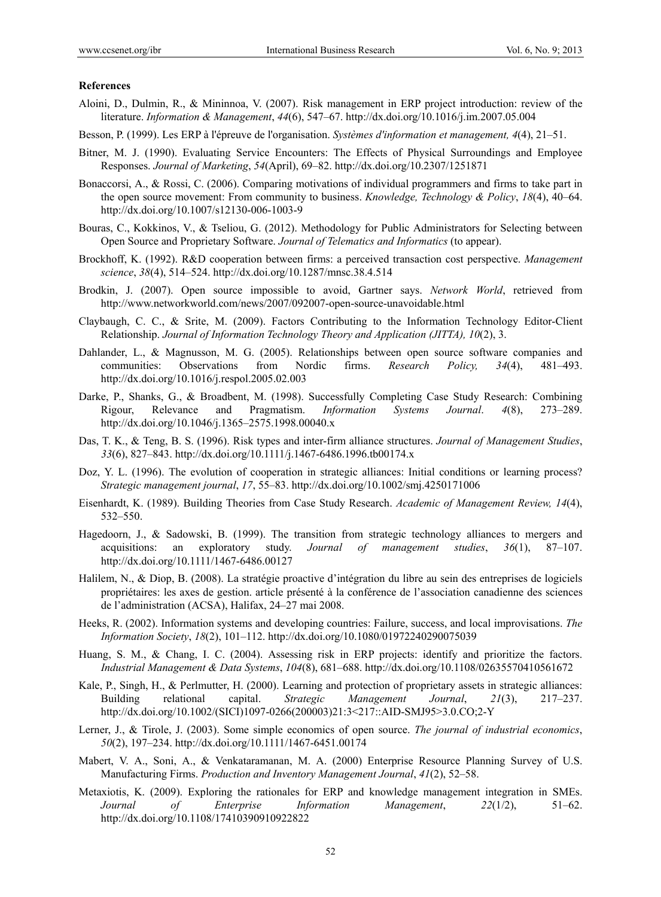#### **References**

- Aloini, D., Dulmin, R., & Mininnoa, V. (2007). Risk management in ERP project introduction: review of the literature. *Information & Management*, *44*(6), 547–67. http://dx.doi.org/10.1016/j.im.2007.05.004
- Besson, P. (1999). Les ERP à l'épreuve de l'organisation. *Systèmes d'information et management, 4*(4), 21–51.
- Bitner, M. J. (1990). Evaluating Service Encounters: The Effects of Physical Surroundings and Employee Responses. *Journal of Marketing*, *54*(April), 69–82. http://dx.doi.org/10.2307/1251871
- Bonaccorsi, A., & Rossi, C. (2006). Comparing motivations of individual programmers and firms to take part in the open source movement: From community to business. *Knowledge, Technology & Policy*, *18*(4), 40–64. http://dx.doi.org/10.1007/s12130-006-1003-9
- Bouras, C., Kokkinos, V., & Tseliou, G. (2012). Methodology for Public Administrators for Selecting between Open Source and Proprietary Software. *Journal of Telematics and Informatics* (to appear).
- Brockhoff, K. (1992). R&D cooperation between firms: a perceived transaction cost perspective. *Management science*, *38*(4), 514–524. http://dx.doi.org/10.1287/mnsc.38.4.514
- Brodkin, J. (2007). Open source impossible to avoid, Gartner says. *Network World*, retrieved from http://www.networkworld.com/news/2007/092007-open-source-unavoidable.html
- Claybaugh, C. C., & Srite, M. (2009). Factors Contributing to the Information Technology Editor-Client Relationship. *Journal of Information Technology Theory and Application (JITTA), 10*(2), 3.
- Dahlander, L., & Magnusson, M. G. (2005). Relationships between open source software companies and communities: Observations from Nordic firms. *Research Policy, 34*(4), 481–493. http://dx.doi.org/10.1016/j.respol.2005.02.003
- Darke, P., Shanks, G., & Broadbent, M. (1998). Successfully Completing Case Study Research: Combining Rigour, Relevance and Pragmatism. *Information Systems Journal*. *4*(8), 273–289. http://dx.doi.org/10.1046/j.1365–2575.1998.00040.x
- Das, T. K., & Teng, B. S. (1996). Risk types and inter-firm alliance structures. *Journal of Management Studies*, *33*(6), 827–843. http://dx.doi.org/10.1111/j.1467-6486.1996.tb00174.x
- Doz, Y. L. (1996). The evolution of cooperation in strategic alliances: Initial conditions or learning process? *Strategic management journal*, *17*, 55–83. http://dx.doi.org/10.1002/smj.4250171006
- Eisenhardt, K. (1989). Building Theories from Case Study Research. *Academic of Management Review, 14*(4), 532–550.
- Hagedoorn, J., & Sadowski, B. (1999). The transition from strategic technology alliances to mergers and acquisitions: an exploratory study. *Journal of management studies*, *36*(1), 87–107. http://dx.doi.org/10.1111/1467-6486.00127
- Halilem, N., & Diop, B. (2008). La stratégie proactive d'intégration du libre au sein des entreprises de logiciels propriétaires: les axes de gestion. article présenté à la conférence de l'association canadienne des sciences de l'administration (ACSA), Halifax, 24–27 mai 2008.
- Heeks, R. (2002). Information systems and developing countries: Failure, success, and local improvisations. *The Information Society*, *18*(2), 101–112. http://dx.doi.org/10.1080/01972240290075039
- Huang, S. M., & Chang, I. C. (2004). Assessing risk in ERP projects: identify and prioritize the factors. *Industrial Management & Data Systems*, *104*(8), 681–688. http://dx.doi.org/10.1108/02635570410561672
- Kale, P., Singh, H., & Perlmutter, H. (2000). Learning and protection of proprietary assets in strategic alliances: Building relational capital. *Strategic Management Journal*, *21*(3), 217–237. http://dx.doi.org/10.1002/(SICI)1097-0266(200003)21:3<217::AID-SMJ95>3.0.CO;2-Y
- Lerner, J., & Tirole, J. (2003). Some simple economics of open source. *The journal of industrial economics*, *50*(2), 197–234. http://dx.doi.org/10.1111/1467-6451.00174
- Mabert, V. A., Soni, A., & Venkataramanan, M. A. (2000) Enterprise Resource Planning Survey of U.S. Manufacturing Firms. *Production and Inventory Management Journal*, *41*(2), 52–58.
- Metaxiotis, K. (2009). Exploring the rationales for ERP and knowledge management integration in SMEs. *Journal of Enterprise Information Management*, *22*(1/2), 51–62. http://dx.doi.org/10.1108/17410390910922822